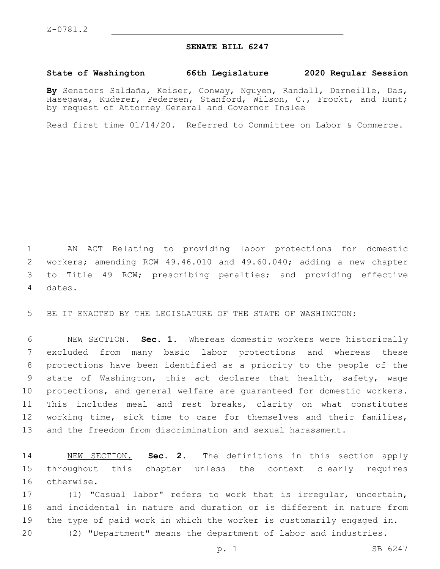## **SENATE BILL 6247**

## **State of Washington 66th Legislature 2020 Regular Session**

**By** Senators Saldaña, Keiser, Conway, Nguyen, Randall, Darneille, Das, Hasegawa, Kuderer, Pedersen, Stanford, Wilson, C., Frockt, and Hunt; by request of Attorney General and Governor Inslee

Read first time 01/14/20. Referred to Committee on Labor & Commerce.

 AN ACT Relating to providing labor protections for domestic workers; amending RCW 49.46.010 and 49.60.040; adding a new chapter to Title 49 RCW; prescribing penalties; and providing effective 4 dates.

BE IT ENACTED BY THE LEGISLATURE OF THE STATE OF WASHINGTON:

 NEW SECTION. **Sec. 1.** Whereas domestic workers were historically excluded from many basic labor protections and whereas these protections have been identified as a priority to the people of the state of Washington, this act declares that health, safety, wage protections, and general welfare are guaranteed for domestic workers. This includes meal and rest breaks, clarity on what constitutes working time, sick time to care for themselves and their families, and the freedom from discrimination and sexual harassment.

 NEW SECTION. **Sec. 2.** The definitions in this section apply throughout this chapter unless the context clearly requires otherwise.

 (1) "Casual labor" refers to work that is irregular, uncertain, and incidental in nature and duration or is different in nature from the type of paid work in which the worker is customarily engaged in. (2) "Department" means the department of labor and industries.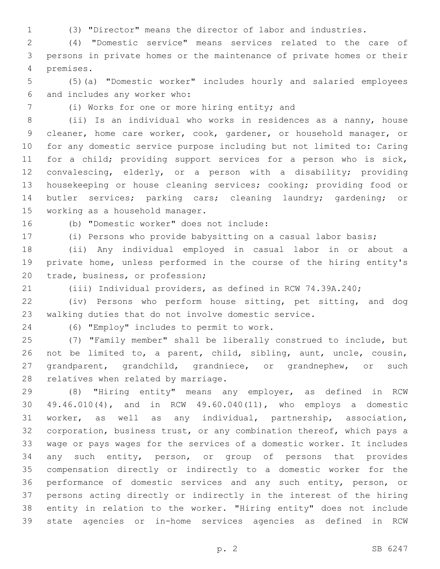(3) "Director" means the director of labor and industries.

 (4) "Domestic service" means services related to the care of persons in private homes or the maintenance of private homes or their 4 premises.

 (5)(a) "Domestic worker" includes hourly and salaried employees 6 and includes any worker who:

(i) Works for one or more hiring entity; and7

 (ii) Is an individual who works in residences as a nanny, house cleaner, home care worker, cook, gardener, or household manager, or for any domestic service purpose including but not limited to: Caring for a child; providing support services for a person who is sick, convalescing, elderly, or a person with a disability; providing housekeeping or house cleaning services; cooking; providing food or butler services; parking cars; cleaning laundry; gardening; or 15 working as a household manager.

(b) "Domestic worker" does not include:16

(i) Persons who provide babysitting on a casual labor basis;

 (ii) Any individual employed in casual labor in or about a private home, unless performed in the course of the hiring entity's 20 trade, business, or profession;

(iii) Individual providers, as defined in RCW 74.39A.240;

 (iv) Persons who perform house sitting, pet sitting, and dog walking duties that do not involve domestic service.

(6) "Employ" includes to permit to work.24

 (7) "Family member" shall be liberally construed to include, but not be limited to, a parent, child, sibling, aunt, uncle, cousin, grandparent, grandchild, grandniece, or grandnephew, or such 28 relatives when related by marriage.

 (8) "Hiring entity" means any employer, as defined in RCW 49.46.010(4), and in RCW 49.60.040(11), who employs a domestic worker, as well as any individual, partnership, association, corporation, business trust, or any combination thereof, which pays a wage or pays wages for the services of a domestic worker. It includes any such entity, person, or group of persons that provides compensation directly or indirectly to a domestic worker for the performance of domestic services and any such entity, person, or persons acting directly or indirectly in the interest of the hiring entity in relation to the worker. "Hiring entity" does not include state agencies or in-home services agencies as defined in RCW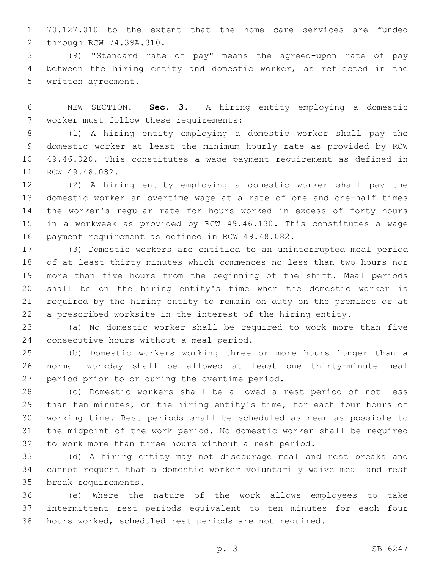70.127.010 to the extent that the home care services are funded 2 through RCW 74.39A.310.

 (9) "Standard rate of pay" means the agreed-upon rate of pay between the hiring entity and domestic worker, as reflected in the 5 written agreement.

 NEW SECTION. **Sec. 3.** A hiring entity employing a domestic worker must follow these requirements:

 (1) A hiring entity employing a domestic worker shall pay the domestic worker at least the minimum hourly rate as provided by RCW 49.46.020. This constitutes a wage payment requirement as defined in 11 RCW 49.48.082.

 (2) A hiring entity employing a domestic worker shall pay the domestic worker an overtime wage at a rate of one and one-half times the worker's regular rate for hours worked in excess of forty hours in a workweek as provided by RCW 49.46.130. This constitutes a wage 16 payment requirement as defined in RCW 49.48.082.

 (3) Domestic workers are entitled to an uninterrupted meal period of at least thirty minutes which commences no less than two hours nor more than five hours from the beginning of the shift. Meal periods shall be on the hiring entity's time when the domestic worker is required by the hiring entity to remain on duty on the premises or at a prescribed worksite in the interest of the hiring entity.

 (a) No domestic worker shall be required to work more than five 24 consecutive hours without a meal period.

 (b) Domestic workers working three or more hours longer than a normal workday shall be allowed at least one thirty-minute meal 27 period prior to or during the overtime period.

 (c) Domestic workers shall be allowed a rest period of not less than ten minutes, on the hiring entity's time, for each four hours of working time. Rest periods shall be scheduled as near as possible to the midpoint of the work period. No domestic worker shall be required to work more than three hours without a rest period.

 (d) A hiring entity may not discourage meal and rest breaks and cannot request that a domestic worker voluntarily waive meal and rest break requirements.35

 (e) Where the nature of the work allows employees to take intermittent rest periods equivalent to ten minutes for each four hours worked, scheduled rest periods are not required.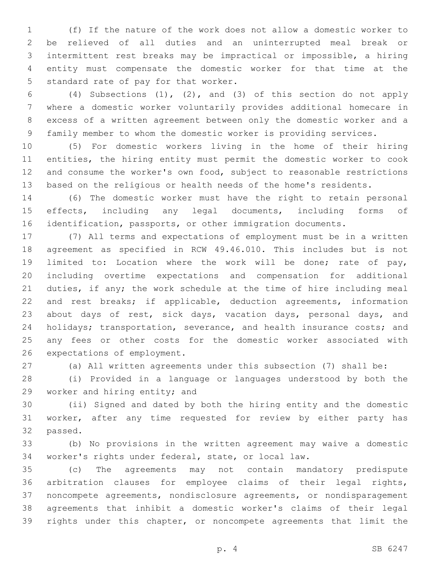(f) If the nature of the work does not allow a domestic worker to be relieved of all duties and an uninterrupted meal break or intermittent rest breaks may be impractical or impossible, a hiring entity must compensate the domestic worker for that time at the 5 standard rate of pay for that worker.

 (4) Subsections (1), (2), and (3) of this section do not apply where a domestic worker voluntarily provides additional homecare in excess of a written agreement between only the domestic worker and a family member to whom the domestic worker is providing services.

 (5) For domestic workers living in the home of their hiring entities, the hiring entity must permit the domestic worker to cook and consume the worker's own food, subject to reasonable restrictions based on the religious or health needs of the home's residents.

 (6) The domestic worker must have the right to retain personal effects, including any legal documents, including forms of 16 identification, passports, or other immigration documents.

 (7) All terms and expectations of employment must be in a written agreement as specified in RCW 49.46.010. This includes but is not limited to: Location where the work will be done; rate of pay, including overtime expectations and compensation for additional duties, if any; the work schedule at the time of hire including meal and rest breaks; if applicable, deduction agreements, information about days of rest, sick days, vacation days, personal days, and holidays; transportation, severance, and health insurance costs; and any fees or other costs for the domestic worker associated with 26 expectations of employment.

(a) All written agreements under this subsection (7) shall be:

 (i) Provided in a language or languages understood by both the 29 worker and hiring entity; and

 (ii) Signed and dated by both the hiring entity and the domestic worker, after any time requested for review by either party has 32 passed.

 (b) No provisions in the written agreement may waive a domestic worker's rights under federal, state, or local law.

 (c) The agreements may not contain mandatory predispute arbitration clauses for employee claims of their legal rights, noncompete agreements, nondisclosure agreements, or nondisparagement agreements that inhibit a domestic worker's claims of their legal rights under this chapter, or noncompete agreements that limit the

p. 4 SB 6247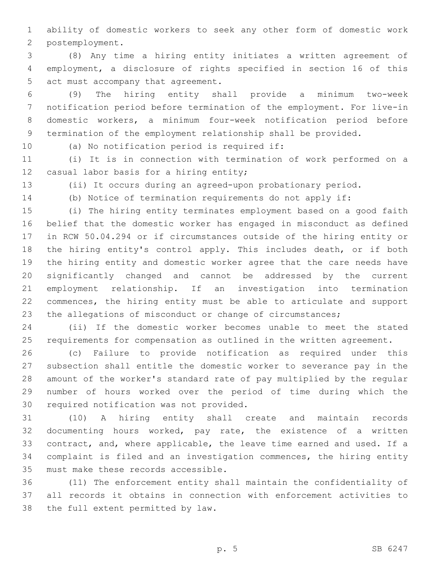ability of domestic workers to seek any other form of domestic work 2 postemployment.

 (8) Any time a hiring entity initiates a written agreement of employment, a disclosure of rights specified in section 16 of this 5 act must accompany that agreement.

 (9) The hiring entity shall provide a minimum two-week notification period before termination of the employment**.** For live-in domestic workers, a minimum four-week notification period before termination of the employment relationship shall be provided.

10 (a) No notification period is required if:

 (i) It is in connection with termination of work performed on a 12 casual labor basis for a hiring entity;

(ii) It occurs during an agreed-upon probationary period.

(b) Notice of termination requirements do not apply if:

 (i) The hiring entity terminates employment based on a good faith belief that the domestic worker has engaged in misconduct as defined in RCW 50.04.294 or if circumstances outside of the hiring entity or the hiring entity's control apply. This includes death, or if both the hiring entity and domestic worker agree that the care needs have significantly changed and cannot be addressed by the current employment relationship. If an investigation into termination commences, the hiring entity must be able to articulate and support 23 the allegations of misconduct or change of circumstances;

 (ii) If the domestic worker becomes unable to meet the stated requirements for compensation as outlined in the written agreement.

 (c) Failure to provide notification as required under this subsection shall entitle the domestic worker to severance pay in the amount of the worker's standard rate of pay multiplied by the regular number of hours worked over the period of time during which the 30 required notification was not provided.

 (10) A hiring entity shall create and maintain records documenting hours worked, pay rate, the existence of a written contract, and, where applicable, the leave time earned and used. If a complaint is filed and an investigation commences, the hiring entity 35 must make these records accessible.

 (11) The enforcement entity shall maintain the confidentiality of all records it obtains in connection with enforcement activities to 38 the full extent permitted by law.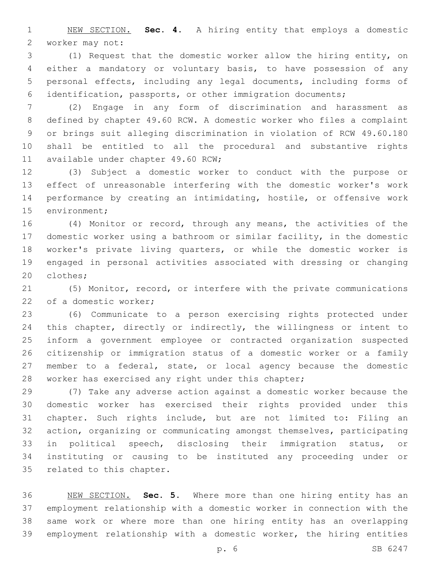NEW SECTION. **Sec. 4.** A hiring entity that employs a domestic worker may not:

 (1) Request that the domestic worker allow the hiring entity, on either a mandatory or voluntary basis, to have possession of any personal effects, including any legal documents, including forms of identification, passports, or other immigration documents;

 (2) Engage in any form of discrimination and harassment as defined by chapter 49.60 RCW. A domestic worker who files a complaint or brings suit alleging discrimination in violation of RCW 49.60.180 shall be entitled to all the procedural and substantive rights 11 available under chapter 49.60 RCW;

 (3) Subject a domestic worker to conduct with the purpose or effect of unreasonable interfering with the domestic worker's work performance by creating an intimidating, hostile, or offensive work 15 environment;

 (4) Monitor or record, through any means, the activities of the domestic worker using a bathroom or similar facility, in the domestic worker's private living quarters, or while the domestic worker is engaged in personal activities associated with dressing or changing 20 clothes;

 (5) Monitor, record, or interfere with the private communications 22 of a domestic worker:

 (6) Communicate to a person exercising rights protected under this chapter, directly or indirectly, the willingness or intent to inform a government employee or contracted organization suspected citizenship or immigration status of a domestic worker or a family member to a federal, state, or local agency because the domestic worker has exercised any right under this chapter;

 (7) Take any adverse action against a domestic worker because the domestic worker has exercised their rights provided under this chapter. Such rights include, but are not limited to: Filing an action, organizing or communicating amongst themselves, participating in political speech, disclosing their immigration status, or instituting or causing to be instituted any proceeding under or 35 related to this chapter.

 NEW SECTION. **Sec. 5.** Where more than one hiring entity has an employment relationship with a domestic worker in connection with the same work or where more than one hiring entity has an overlapping employment relationship with a domestic worker, the hiring entities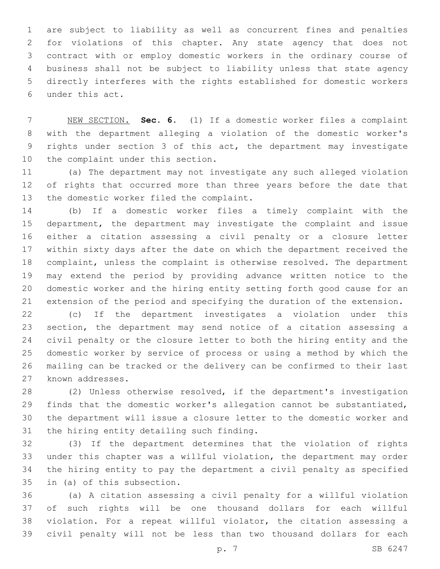are subject to liability as well as concurrent fines and penalties for violations of this chapter. Any state agency that does not contract with or employ domestic workers in the ordinary course of business shall not be subject to liability unless that state agency directly interferes with the rights established for domestic workers under this act.6

 NEW SECTION. **Sec. 6.** (1) If a domestic worker files a complaint with the department alleging a violation of the domestic worker's rights under section 3 of this act, the department may investigate the complaint under this section.

 (a) The department may not investigate any such alleged violation of rights that occurred more than three years before the date that 13 the domestic worker filed the complaint.

 (b) If a domestic worker files a timely complaint with the department, the department may investigate the complaint and issue either a citation assessing a civil penalty or a closure letter within sixty days after the date on which the department received the complaint, unless the complaint is otherwise resolved. The department may extend the period by providing advance written notice to the domestic worker and the hiring entity setting forth good cause for an extension of the period and specifying the duration of the extension.

 (c) If the department investigates a violation under this section, the department may send notice of a citation assessing a civil penalty or the closure letter to both the hiring entity and the domestic worker by service of process or using a method by which the mailing can be tracked or the delivery can be confirmed to their last 27 known addresses.

 (2) Unless otherwise resolved, if the department's investigation finds that the domestic worker's allegation cannot be substantiated, the department will issue a closure letter to the domestic worker and 31 the hiring entity detailing such finding.

 (3) If the department determines that the violation of rights under this chapter was a willful violation, the department may order the hiring entity to pay the department a civil penalty as specified 35 in (a) of this subsection.

 (a) A citation assessing a civil penalty for a willful violation of such rights will be one thousand dollars for each willful violation. For a repeat willful violator, the citation assessing a civil penalty will not be less than two thousand dollars for each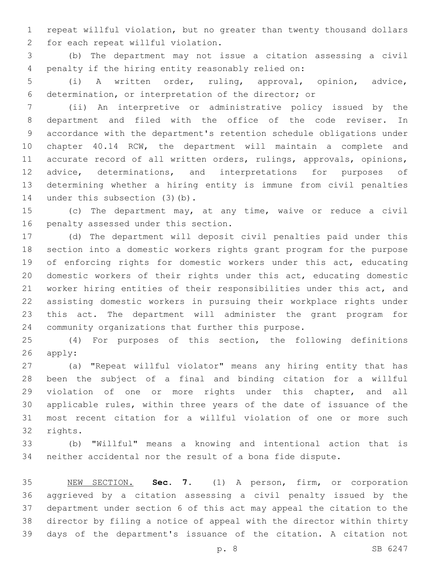repeat willful violation, but no greater than twenty thousand dollars 2 for each repeat willful violation.

 (b) The department may not issue a citation assessing a civil penalty if the hiring entity reasonably relied on:4

 (i) A written order, ruling, approval, opinion, advice, determination, or interpretation of the director; or

 (ii) An interpretive or administrative policy issued by the department and filed with the office of the code reviser. In accordance with the department's retention schedule obligations under chapter 40.14 RCW, the department will maintain a complete and accurate record of all written orders, rulings, approvals, opinions, 12 advice, determinations, and interpretations for purposes of determining whether a hiring entity is immune from civil penalties 14 under this subsection (3)(b).

 (c) The department may, at any time, waive or reduce a civil 16 penalty assessed under this section.

 (d) The department will deposit civil penalties paid under this section into a domestic workers rights grant program for the purpose 19 of enforcing rights for domestic workers under this act, educating domestic workers of their rights under this act, educating domestic worker hiring entities of their responsibilities under this act, and assisting domestic workers in pursuing their workplace rights under this act. The department will administer the grant program for community organizations that further this purpose.

 (4) For purposes of this section, the following definitions apply:

 (a) "Repeat willful violator" means any hiring entity that has been the subject of a final and binding citation for a willful violation of one or more rights under this chapter, and all applicable rules, within three years of the date of issuance of the most recent citation for a willful violation of one or more such 32 rights.

 (b) "Willful" means a knowing and intentional action that is neither accidental nor the result of a bona fide dispute.

 NEW SECTION. **Sec. 7.** (1) A person, firm, or corporation aggrieved by a citation assessing a civil penalty issued by the department under section 6 of this act may appeal the citation to the director by filing a notice of appeal with the director within thirty days of the department's issuance of the citation. A citation not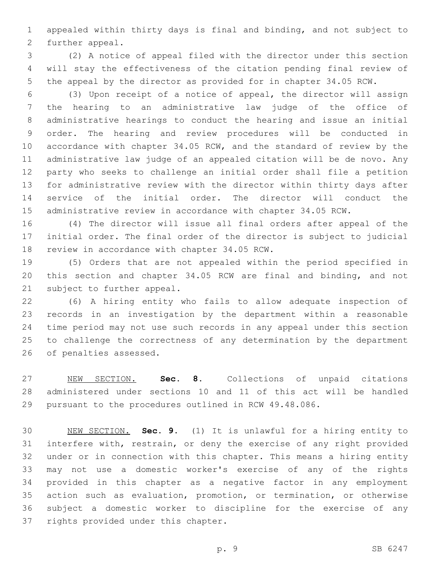appealed within thirty days is final and binding, and not subject to 2 further appeal.

 (2) A notice of appeal filed with the director under this section will stay the effectiveness of the citation pending final review of the appeal by the director as provided for in chapter 34.05 RCW.

 (3) Upon receipt of a notice of appeal, the director will assign the hearing to an administrative law judge of the office of administrative hearings to conduct the hearing and issue an initial order. The hearing and review procedures will be conducted in accordance with chapter 34.05 RCW, and the standard of review by the administrative law judge of an appealed citation will be de novo. Any party who seeks to challenge an initial order shall file a petition for administrative review with the director within thirty days after service of the initial order. The director will conduct the administrative review in accordance with chapter 34.05 RCW.

 (4) The director will issue all final orders after appeal of the initial order. The final order of the director is subject to judicial 18 review in accordance with chapter 34.05 RCW.

 (5) Orders that are not appealed within the period specified in this section and chapter 34.05 RCW are final and binding, and not 21 subject to further appeal.

 (6) A hiring entity who fails to allow adequate inspection of records in an investigation by the department within a reasonable time period may not use such records in any appeal under this section to challenge the correctness of any determination by the department 26 of penalties assessed.

 NEW SECTION. **Sec. 8.** Collections of unpaid citations administered under sections 10 and 11 of this act will be handled pursuant to the procedures outlined in RCW 49.48.086.

 NEW SECTION. **Sec. 9.** (1) It is unlawful for a hiring entity to interfere with, restrain, or deny the exercise of any right provided under or in connection with this chapter. This means a hiring entity may not use a domestic worker's exercise of any of the rights provided in this chapter as a negative factor in any employment action such as evaluation, promotion, or termination, or otherwise subject a domestic worker to discipline for the exercise of any rights provided under this chapter.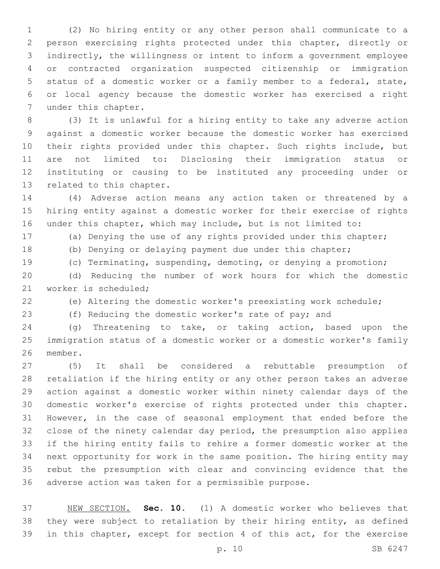(2) No hiring entity or any other person shall communicate to a person exercising rights protected under this chapter, directly or indirectly, the willingness or intent to inform a government employee or contracted organization suspected citizenship or immigration status of a domestic worker or a family member to a federal, state, or local agency because the domestic worker has exercised a right 7 under this chapter.

 (3) It is unlawful for a hiring entity to take any adverse action against a domestic worker because the domestic worker has exercised their rights provided under this chapter. Such rights include, but are not limited to: Disclosing their immigration status or instituting or causing to be instituted any proceeding under or 13 related to this chapter.

 (4) Adverse action means any action taken or threatened by a hiring entity against a domestic worker for their exercise of rights under this chapter, which may include, but is not limited to:

(a) Denying the use of any rights provided under this chapter;

(b) Denying or delaying payment due under this chapter;

(c) Terminating, suspending, demoting, or denying a promotion;

 (d) Reducing the number of work hours for which the domestic 21 worker is scheduled;

(e) Altering the domestic worker's preexisting work schedule;

(f) Reducing the domestic worker's rate of pay; and

 (g) Threatening to take, or taking action, based upon the immigration status of a domestic worker or a domestic worker's family 26 member.

 (5) It shall be considered a rebuttable presumption of retaliation if the hiring entity or any other person takes an adverse action against a domestic worker within ninety calendar days of the domestic worker's exercise of rights protected under this chapter. However, in the case of seasonal employment that ended before the close of the ninety calendar day period, the presumption also applies if the hiring entity fails to rehire a former domestic worker at the next opportunity for work in the same position. The hiring entity may rebut the presumption with clear and convincing evidence that the adverse action was taken for a permissible purpose.

 NEW SECTION. **Sec. 10.** (1) A domestic worker who believes that they were subject to retaliation by their hiring entity, as defined in this chapter, except for section 4 of this act, for the exercise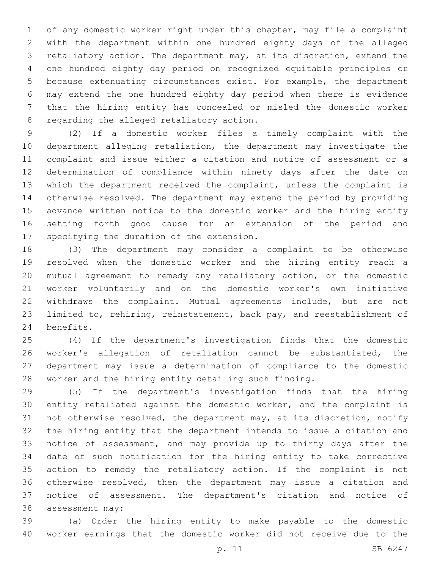of any domestic worker right under this chapter, may file a complaint with the department within one hundred eighty days of the alleged retaliatory action. The department may, at its discretion, extend the one hundred eighty day period on recognized equitable principles or because extenuating circumstances exist. For example, the department may extend the one hundred eighty day period when there is evidence that the hiring entity has concealed or misled the domestic worker 8 regarding the alleged retaliatory action.

 (2) If a domestic worker files a timely complaint with the department alleging retaliation, the department may investigate the complaint and issue either a citation and notice of assessment or a determination of compliance within ninety days after the date on which the department received the complaint, unless the complaint is otherwise resolved. The department may extend the period by providing advance written notice to the domestic worker and the hiring entity setting forth good cause for an extension of the period and 17 specifying the duration of the extension.

 (3) The department may consider a complaint to be otherwise resolved when the domestic worker and the hiring entity reach a mutual agreement to remedy any retaliatory action, or the domestic worker voluntarily and on the domestic worker's own initiative withdraws the complaint. Mutual agreements include, but are not limited to, rehiring, reinstatement, back pay, and reestablishment of 24 benefits.

 (4) If the department's investigation finds that the domestic worker's allegation of retaliation cannot be substantiated, the department may issue a determination of compliance to the domestic worker and the hiring entity detailing such finding.

 (5) If the department's investigation finds that the hiring entity retaliated against the domestic worker, and the complaint is not otherwise resolved, the department may, at its discretion, notify the hiring entity that the department intends to issue a citation and notice of assessment, and may provide up to thirty days after the date of such notification for the hiring entity to take corrective action to remedy the retaliatory action. If the complaint is not otherwise resolved, then the department may issue a citation and notice of assessment. The department's citation and notice of 38 assessment may:

 (a) Order the hiring entity to make payable to the domestic worker earnings that the domestic worker did not receive due to the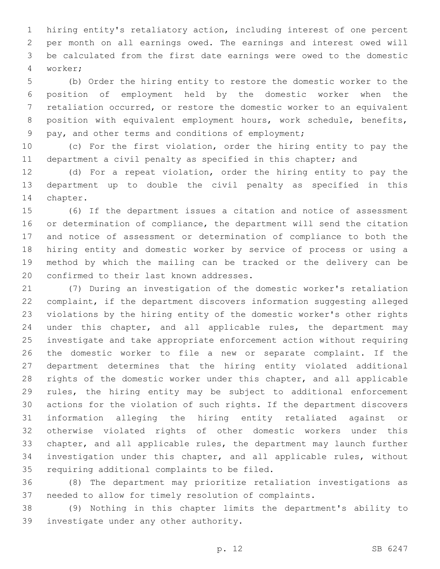hiring entity's retaliatory action, including interest of one percent per month on all earnings owed. The earnings and interest owed will be calculated from the first date earnings were owed to the domestic worker;4

 (b) Order the hiring entity to restore the domestic worker to the position of employment held by the domestic worker when the retaliation occurred, or restore the domestic worker to an equivalent 8 position with equivalent employment hours, work schedule, benefits, 9 pay, and other terms and conditions of employment;

 (c) For the first violation, order the hiring entity to pay the department a civil penalty as specified in this chapter; and

 (d) For a repeat violation, order the hiring entity to pay the department up to double the civil penalty as specified in this 14 chapter.

 (6) If the department issues a citation and notice of assessment or determination of compliance, the department will send the citation and notice of assessment or determination of compliance to both the hiring entity and domestic worker by service of process or using a method by which the mailing can be tracked or the delivery can be 20 confirmed to their last known addresses.

 (7) During an investigation of the domestic worker's retaliation complaint, if the department discovers information suggesting alleged violations by the hiring entity of the domestic worker's other rights 24 under this chapter, and all applicable rules, the department may investigate and take appropriate enforcement action without requiring the domestic worker to file a new or separate complaint. If the department determines that the hiring entity violated additional rights of the domestic worker under this chapter, and all applicable rules, the hiring entity may be subject to additional enforcement actions for the violation of such rights. If the department discovers information alleging the hiring entity retaliated against or otherwise violated rights of other domestic workers under this chapter, and all applicable rules, the department may launch further investigation under this chapter, and all applicable rules, without 35 requiring additional complaints to be filed.

 (8) The department may prioritize retaliation investigations as needed to allow for timely resolution of complaints.

 (9) Nothing in this chapter limits the department's ability to 39 investigate under any other authority.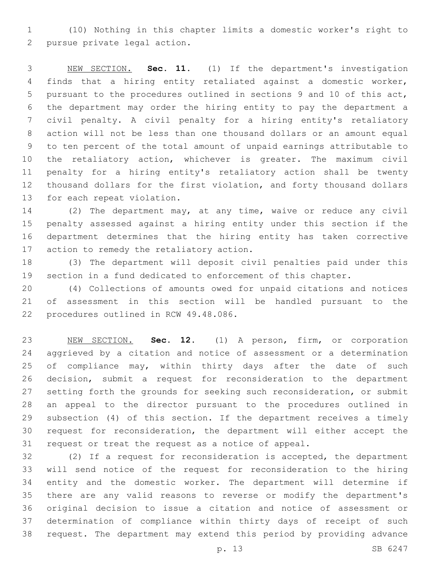(10) Nothing in this chapter limits a domestic worker's right to 2 pursue private legal action.

 NEW SECTION. **Sec. 11.** (1) If the department's investigation finds that a hiring entity retaliated against a domestic worker, pursuant to the procedures outlined in sections 9 and 10 of this act, the department may order the hiring entity to pay the department a civil penalty. A civil penalty for a hiring entity's retaliatory action will not be less than one thousand dollars or an amount equal to ten percent of the total amount of unpaid earnings attributable to the retaliatory action, whichever is greater. The maximum civil penalty for a hiring entity's retaliatory action shall be twenty thousand dollars for the first violation, and forty thousand dollars for each repeat violation.

 (2) The department may, at any time, waive or reduce any civil penalty assessed against a hiring entity under this section if the department determines that the hiring entity has taken corrective 17 action to remedy the retaliatory action.

 (3) The department will deposit civil penalties paid under this section in a fund dedicated to enforcement of this chapter.

 (4) Collections of amounts owed for unpaid citations and notices of assessment in this section will be handled pursuant to the 22 procedures outlined in RCW 49.48.086.

 NEW SECTION. **Sec. 12.** (1) A person, firm, or corporation aggrieved by a citation and notice of assessment or a determination of compliance may, within thirty days after the date of such decision, submit a request for reconsideration to the department setting forth the grounds for seeking such reconsideration, or submit an appeal to the director pursuant to the procedures outlined in subsection (4) of this section. If the department receives a timely request for reconsideration, the department will either accept the request or treat the request as a notice of appeal.

 (2) If a request for reconsideration is accepted, the department will send notice of the request for reconsideration to the hiring entity and the domestic worker. The department will determine if there are any valid reasons to reverse or modify the department's original decision to issue a citation and notice of assessment or determination of compliance within thirty days of receipt of such request. The department may extend this period by providing advance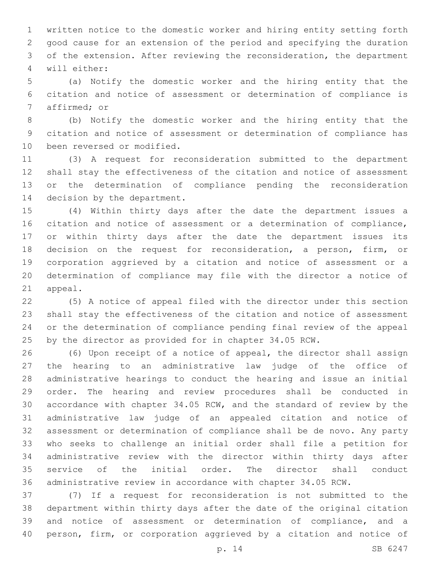written notice to the domestic worker and hiring entity setting forth good cause for an extension of the period and specifying the duration of the extension. After reviewing the reconsideration, the department will either:4

 (a) Notify the domestic worker and the hiring entity that the citation and notice of assessment or determination of compliance is 7 affirmed; or

 (b) Notify the domestic worker and the hiring entity that the citation and notice of assessment or determination of compliance has 10 been reversed or modified.

 (3) A request for reconsideration submitted to the department shall stay the effectiveness of the citation and notice of assessment or the determination of compliance pending the reconsideration 14 decision by the department.

 (4) Within thirty days after the date the department issues a citation and notice of assessment or a determination of compliance, or within thirty days after the date the department issues its decision on the request for reconsideration, a person, firm, or corporation aggrieved by a citation and notice of assessment or a determination of compliance may file with the director a notice of 21 appeal.

 (5) A notice of appeal filed with the director under this section shall stay the effectiveness of the citation and notice of assessment or the determination of compliance pending final review of the appeal by the director as provided for in chapter 34.05 RCW.

 (6) Upon receipt of a notice of appeal, the director shall assign the hearing to an administrative law judge of the office of administrative hearings to conduct the hearing and issue an initial order. The hearing and review procedures shall be conducted in accordance with chapter 34.05 RCW, and the standard of review by the administrative law judge of an appealed citation and notice of assessment or determination of compliance shall be de novo. Any party who seeks to challenge an initial order shall file a petition for administrative review with the director within thirty days after service of the initial order. The director shall conduct administrative review in accordance with chapter 34.05 RCW.

 (7) If a request for reconsideration is not submitted to the department within thirty days after the date of the original citation and notice of assessment or determination of compliance, and a person, firm, or corporation aggrieved by a citation and notice of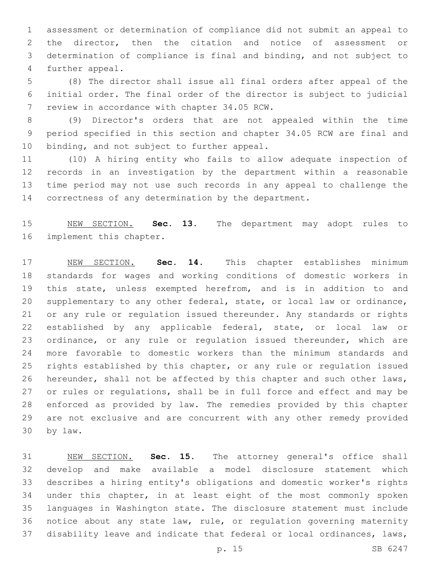assessment or determination of compliance did not submit an appeal to the director, then the citation and notice of assessment or determination of compliance is final and binding, and not subject to 4 further appeal.

 (8) The director shall issue all final orders after appeal of the initial order. The final order of the director is subject to judicial 7 review in accordance with chapter 34.05 RCW.

 (9) Director's orders that are not appealed within the time period specified in this section and chapter 34.05 RCW are final and 10 binding, and not subject to further appeal.

 (10) A hiring entity who fails to allow adequate inspection of records in an investigation by the department within a reasonable time period may not use such records in any appeal to challenge the correctness of any determination by the department.

 NEW SECTION. **Sec. 13.** The department may adopt rules to implement this chapter.

 NEW SECTION. **Sec. 14.** This chapter establishes minimum standards for wages and working conditions of domestic workers in this state, unless exempted herefrom, and is in addition to and supplementary to any other federal, state, or local law or ordinance, or any rule or regulation issued thereunder. Any standards or rights established by any applicable federal, state, or local law or 23 ordinance, or any rule or regulation issued thereunder, which are more favorable to domestic workers than the minimum standards and rights established by this chapter, or any rule or regulation issued hereunder, shall not be affected by this chapter and such other laws, or rules or regulations, shall be in full force and effect and may be enforced as provided by law. The remedies provided by this chapter are not exclusive and are concurrent with any other remedy provided by law.

 NEW SECTION. **Sec. 15.** The attorney general's office shall develop and make available a model disclosure statement which describes a hiring entity's obligations and domestic worker's rights under this chapter, in at least eight of the most commonly spoken languages in Washington state. The disclosure statement must include notice about any state law, rule, or regulation governing maternity disability leave and indicate that federal or local ordinances, laws,

p. 15 SB 6247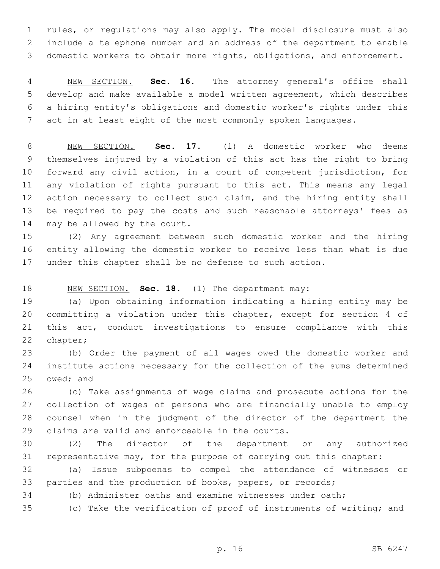rules, or regulations may also apply. The model disclosure must also include a telephone number and an address of the department to enable domestic workers to obtain more rights, obligations, and enforcement.

 NEW SECTION. **Sec. 16.** The attorney general's office shall develop and make available a model written agreement, which describes a hiring entity's obligations and domestic worker's rights under this act in at least eight of the most commonly spoken languages.

 NEW SECTION. **Sec. 17.** (1) A domestic worker who deems themselves injured by a violation of this act has the right to bring forward any civil action, in a court of competent jurisdiction, for any violation of rights pursuant to this act. This means any legal action necessary to collect such claim, and the hiring entity shall be required to pay the costs and such reasonable attorneys' fees as may be allowed by the court.

 (2) Any agreement between such domestic worker and the hiring entity allowing the domestic worker to receive less than what is due under this chapter shall be no defense to such action.

NEW SECTION. **Sec. 18.** (1) The department may:

 (a) Upon obtaining information indicating a hiring entity may be committing a violation under this chapter, except for section 4 of this act, conduct investigations to ensure compliance with this 22 chapter;

 (b) Order the payment of all wages owed the domestic worker and institute actions necessary for the collection of the sums determined 25 owed; and

 (c) Take assignments of wage claims and prosecute actions for the collection of wages of persons who are financially unable to employ counsel when in the judgment of the director of the department the 29 claims are valid and enforceable in the courts.

 (2) The director of the department or any authorized representative may, for the purpose of carrying out this chapter:

 (a) Issue subpoenas to compel the attendance of witnesses or parties and the production of books, papers, or records;

(b) Administer oaths and examine witnesses under oath;

(c) Take the verification of proof of instruments of writing; and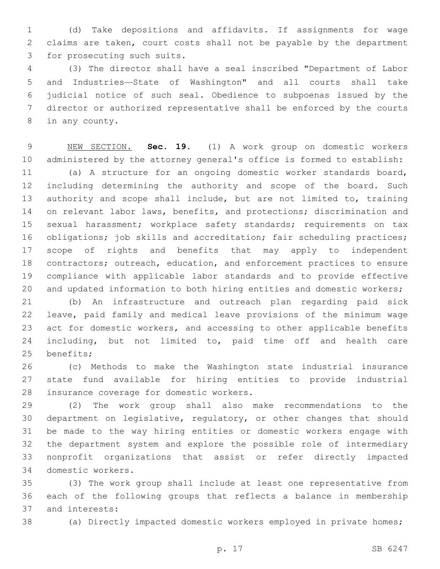(d) Take depositions and affidavits. If assignments for wage claims are taken, court costs shall not be payable by the department 3 for prosecuting such suits.

 (3) The director shall have a seal inscribed "Department of Labor and Industries—State of Washington" and all courts shall take judicial notice of such seal. Obedience to subpoenas issued by the director or authorized representative shall be enforced by the courts 8 in any county.

 NEW SECTION. **Sec. 19.** (1) A work group on domestic workers administered by the attorney general's office is formed to establish: (a) A structure for an ongoing domestic worker standards board, including determining the authority and scope of the board. Such authority and scope shall include, but are not limited to, training 14 on relevant labor laws, benefits, and protections; discrimination and 15 sexual harassment; workplace safety standards; requirements on tax 16 obligations; job skills and accreditation; fair scheduling practices; scope of rights and benefits that may apply to independent contractors; outreach, education, and enforcement practices to ensure compliance with applicable labor standards and to provide effective and updated information to both hiring entities and domestic workers;

 (b) An infrastructure and outreach plan regarding paid sick leave, paid family and medical leave provisions of the minimum wage act for domestic workers, and accessing to other applicable benefits 24 including, but not limited to, paid time off and health care 25 benefits;

 (c) Methods to make the Washington state industrial insurance state fund available for hiring entities to provide industrial 28 insurance coverage for domestic workers.

 (2) The work group shall also make recommendations to the department on legislative, regulatory, or other changes that should be made to the way hiring entities or domestic workers engage with the department system and explore the possible role of intermediary nonprofit organizations that assist or refer directly impacted 34 domestic workers.

 (3) The work group shall include at least one representative from each of the following groups that reflects a balance in membership 37 and interests:

(a) Directly impacted domestic workers employed in private homes;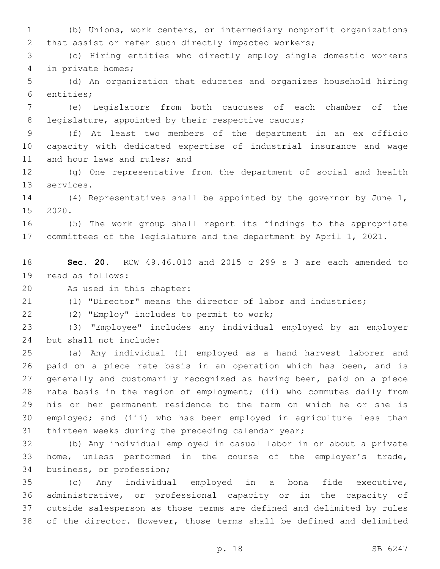(b) Unions, work centers, or intermediary nonprofit organizations that assist or refer such directly impacted workers;

 (c) Hiring entities who directly employ single domestic workers 4 in private homes;

 (d) An organization that educates and organizes household hiring 6 entities;

 (e) Legislators from both caucuses of each chamber of the 8 legislature, appointed by their respective caucus;

 (f) At least two members of the department in an ex officio capacity with dedicated expertise of industrial insurance and wage 11 and hour laws and rules; and

 (g) One representative from the department of social and health 13 services.

 (4) Representatives shall be appointed by the governor by June 1, 15 2020.

 (5) The work group shall report its findings to the appropriate committees of the legislature and the department by April 1, 2021.

 **Sec. 20.** RCW 49.46.010 and 2015 c 299 s 3 are each amended to 19 read as follows:

20 As used in this chapter:

(1) "Director" means the director of labor and industries;

22 (2) "Employ" includes to permit to work;

 (3) "Employee" includes any individual employed by an employer 24 but shall not include:

 (a) Any individual (i) employed as a hand harvest laborer and paid on a piece rate basis in an operation which has been, and is generally and customarily recognized as having been, paid on a piece rate basis in the region of employment; (ii) who commutes daily from his or her permanent residence to the farm on which he or she is employed; and (iii) who has been employed in agriculture less than thirteen weeks during the preceding calendar year;

 (b) Any individual employed in casual labor in or about a private home, unless performed in the course of the employer's trade, 34 business, or profession;

 (c) Any individual employed in a bona fide executive, administrative, or professional capacity or in the capacity of outside salesperson as those terms are defined and delimited by rules of the director. However, those terms shall be defined and delimited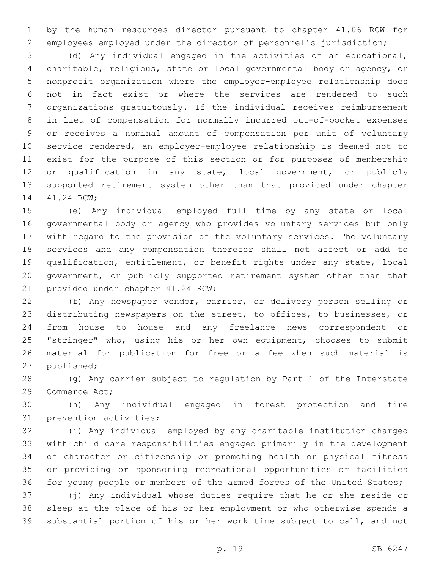by the human resources director pursuant to chapter 41.06 RCW for employees employed under the director of personnel's jurisdiction;

 (d) Any individual engaged in the activities of an educational, charitable, religious, state or local governmental body or agency, or nonprofit organization where the employer-employee relationship does not in fact exist or where the services are rendered to such organizations gratuitously. If the individual receives reimbursement in lieu of compensation for normally incurred out-of-pocket expenses or receives a nominal amount of compensation per unit of voluntary service rendered, an employer-employee relationship is deemed not to exist for the purpose of this section or for purposes of membership or qualification in any state, local government, or publicly supported retirement system other than that provided under chapter 14 41.24 RCW;

 (e) Any individual employed full time by any state or local governmental body or agency who provides voluntary services but only with regard to the provision of the voluntary services. The voluntary services and any compensation therefor shall not affect or add to qualification, entitlement, or benefit rights under any state, local government, or publicly supported retirement system other than that 21 provided under chapter 41.24 RCW;

 (f) Any newspaper vendor, carrier, or delivery person selling or distributing newspapers on the street, to offices, to businesses, or from house to house and any freelance news correspondent or 25 "stringer" who, using his or her own equipment, chooses to submit material for publication for free or a fee when such material is 27 published;

 (g) Any carrier subject to regulation by Part 1 of the Interstate 29 Commerce Act;

 (h) Any individual engaged in forest protection and fire 31 prevention activities;

 (i) Any individual employed by any charitable institution charged with child care responsibilities engaged primarily in the development of character or citizenship or promoting health or physical fitness or providing or sponsoring recreational opportunities or facilities for young people or members of the armed forces of the United States;

 (j) Any individual whose duties require that he or she reside or sleep at the place of his or her employment or who otherwise spends a substantial portion of his or her work time subject to call, and not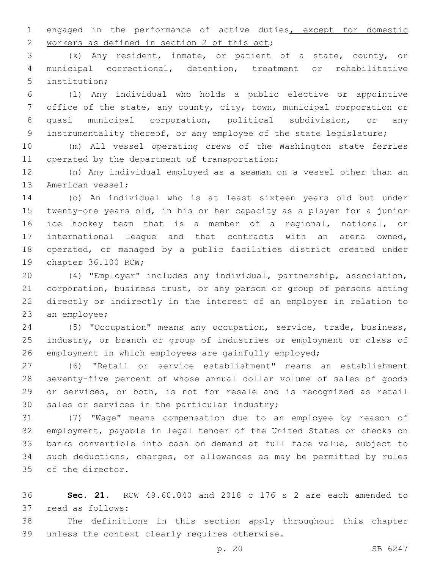engaged in the performance of active duties, except for domestic 2 workers as defined in section 2 of this act;

 (k) Any resident, inmate, or patient of a state, county, or municipal correctional, detention, treatment or rehabilitative 5 institution;

 (l) Any individual who holds a public elective or appointive office of the state, any county, city, town, municipal corporation or quasi municipal corporation, political subdivision, or any 9 instrumentality thereof, or any employee of the state legislature;

 (m) All vessel operating crews of the Washington state ferries 11 operated by the department of transportation;

 (n) Any individual employed as a seaman on a vessel other than an 13 American vessel;

 (o) An individual who is at least sixteen years old but under twenty-one years old, in his or her capacity as a player for a junior ice hockey team that is a member of a regional, national, or international league and that contracts with an arena owned, operated, or managed by a public facilities district created under 19 chapter 36.100 RCW;

 (4) "Employer" includes any individual, partnership, association, corporation, business trust, or any person or group of persons acting directly or indirectly in the interest of an employer in relation to 23 an employee;

 (5) "Occupation" means any occupation, service, trade, business, industry, or branch or group of industries or employment or class of employment in which employees are gainfully employed;

 (6) "Retail or service establishment" means an establishment seventy-five percent of whose annual dollar volume of sales of goods or services, or both, is not for resale and is recognized as retail 30 sales or services in the particular industry;

 (7) "Wage" means compensation due to an employee by reason of employment, payable in legal tender of the United States or checks on banks convertible into cash on demand at full face value, subject to such deductions, charges, or allowances as may be permitted by rules 35 of the director.

 **Sec. 21.** RCW 49.60.040 and 2018 c 176 s 2 are each amended to 37 read as follows:

 The definitions in this section apply throughout this chapter 39 unless the context clearly requires otherwise.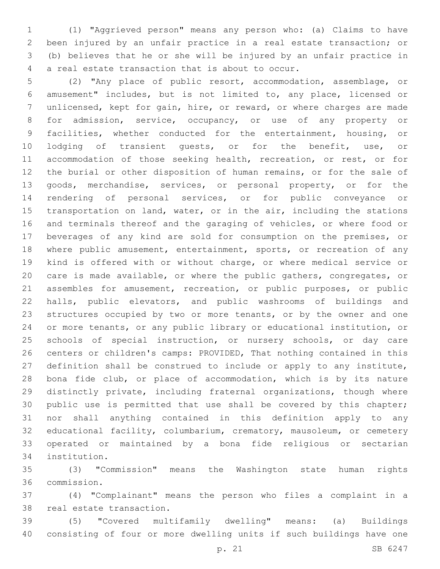(1) "Aggrieved person" means any person who: (a) Claims to have been injured by an unfair practice in a real estate transaction; or (b) believes that he or she will be injured by an unfair practice in a real estate transaction that is about to occur.4

 (2) "Any place of public resort, accommodation, assemblage, or amusement" includes, but is not limited to, any place, licensed or unlicensed, kept for gain, hire, or reward, or where charges are made for admission, service, occupancy, or use of any property or facilities, whether conducted for the entertainment, housing, or lodging of transient guests, or for the benefit, use, or accommodation of those seeking health, recreation, or rest, or for the burial or other disposition of human remains, or for the sale of goods, merchandise, services, or personal property, or for the rendering of personal services, or for public conveyance or 15 transportation on land, water, or in the air, including the stations and terminals thereof and the garaging of vehicles, or where food or beverages of any kind are sold for consumption on the premises, or 18 where public amusement, entertainment, sports, or recreation of any kind is offered with or without charge, or where medical service or care is made available, or where the public gathers, congregates, or assembles for amusement, recreation, or public purposes, or public halls, public elevators, and public washrooms of buildings and structures occupied by two or more tenants, or by the owner and one or more tenants, or any public library or educational institution, or 25 schools of special instruction, or nursery schools, or day care centers or children's camps: PROVIDED, That nothing contained in this definition shall be construed to include or apply to any institute, bona fide club, or place of accommodation, which is by its nature distinctly private, including fraternal organizations, though where 30 public use is permitted that use shall be covered by this chapter; nor shall anything contained in this definition apply to any educational facility, columbarium, crematory, mausoleum, or cemetery operated or maintained by a bona fide religious or sectarian institution.34

 (3) "Commission" means the Washington state human rights commission.36

 (4) "Complainant" means the person who files a complaint in a 38 real estate transaction.

 (5) "Covered multifamily dwelling" means: (a) Buildings consisting of four or more dwelling units if such buildings have one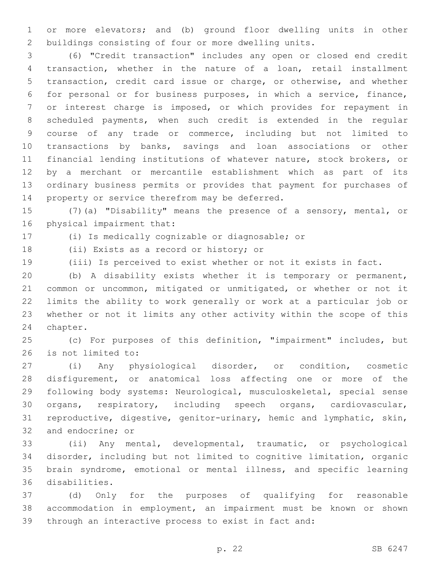or more elevators; and (b) ground floor dwelling units in other buildings consisting of four or more dwelling units.

 (6) "Credit transaction" includes any open or closed end credit transaction, whether in the nature of a loan, retail installment transaction, credit card issue or charge, or otherwise, and whether for personal or for business purposes, in which a service, finance, or interest charge is imposed, or which provides for repayment in scheduled payments, when such credit is extended in the regular course of any trade or commerce, including but not limited to transactions by banks, savings and loan associations or other financial lending institutions of whatever nature, stock brokers, or by a merchant or mercantile establishment which as part of its ordinary business permits or provides that payment for purchases of 14 property or service therefrom may be deferred.

 (7)(a) "Disability" means the presence of a sensory, mental, or 16 physical impairment that:

(i) Is medically cognizable or diagnosable; or

18 (ii) Exists as a record or history; or

(iii) Is perceived to exist whether or not it exists in fact.

 (b) A disability exists whether it is temporary or permanent, common or uncommon, mitigated or unmitigated, or whether or not it limits the ability to work generally or work at a particular job or whether or not it limits any other activity within the scope of this 24 chapter.

 (c) For purposes of this definition, "impairment" includes, but 26 is not limited to:

 (i) Any physiological disorder, or condition, cosmetic disfigurement, or anatomical loss affecting one or more of the following body systems: Neurological, musculoskeletal, special sense organs, respiratory, including speech organs, cardiovascular, reproductive, digestive, genitor-urinary, hemic and lymphatic, skin, 32 and endocrine; or

 (ii) Any mental, developmental, traumatic, or psychological disorder, including but not limited to cognitive limitation, organic brain syndrome, emotional or mental illness, and specific learning disabilities.36

 (d) Only for the purposes of qualifying for reasonable accommodation in employment, an impairment must be known or shown through an interactive process to exist in fact and: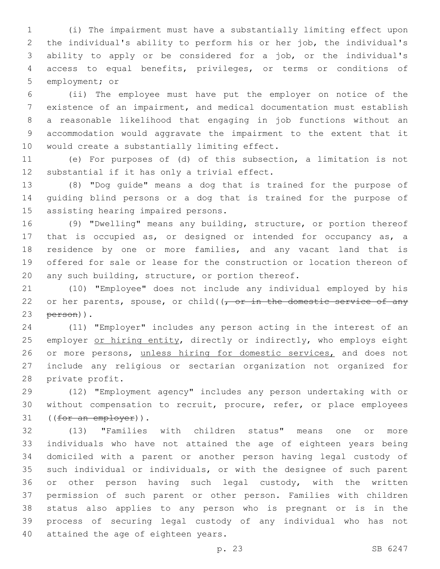(i) The impairment must have a substantially limiting effect upon the individual's ability to perform his or her job, the individual's ability to apply or be considered for a job, or the individual's access to equal benefits, privileges, or terms or conditions of 5 employment; or

 (ii) The employee must have put the employer on notice of the existence of an impairment, and medical documentation must establish a reasonable likelihood that engaging in job functions without an accommodation would aggravate the impairment to the extent that it 10 would create a substantially limiting effect.

 (e) For purposes of (d) of this subsection, a limitation is not 12 substantial if it has only a trivial effect.

 (8) "Dog guide" means a dog that is trained for the purpose of guiding blind persons or a dog that is trained for the purpose of 15 assisting hearing impaired persons.

 (9) "Dwelling" means any building, structure, or portion thereof that is occupied as, or designed or intended for occupancy as, a residence by one or more families, and any vacant land that is offered for sale or lease for the construction or location thereon of 20 any such building, structure, or portion thereof.

 (10) "Employee" does not include any individual employed by his 22 or her parents, spouse, or child( $(-$  or in the domestic service of any 23 <del>person</del>)).

 (11) "Employer" includes any person acting in the interest of an 25 employer or hiring entity, directly or indirectly, who employs eight 26 or more persons, unless hiring for domestic services, and does not include any religious or sectarian organization not organized for 28 private profit.

 (12) "Employment agency" includes any person undertaking with or without compensation to recruit, procure, refer, or place employees 31 ((for an employer)).

 (13) "Families with children status" means one or more individuals who have not attained the age of eighteen years being domiciled with a parent or another person having legal custody of such individual or individuals, or with the designee of such parent 36 or other person having such legal custody, with the written permission of such parent or other person. Families with children status also applies to any person who is pregnant or is in the process of securing legal custody of any individual who has not 40 attained the age of eighteen years.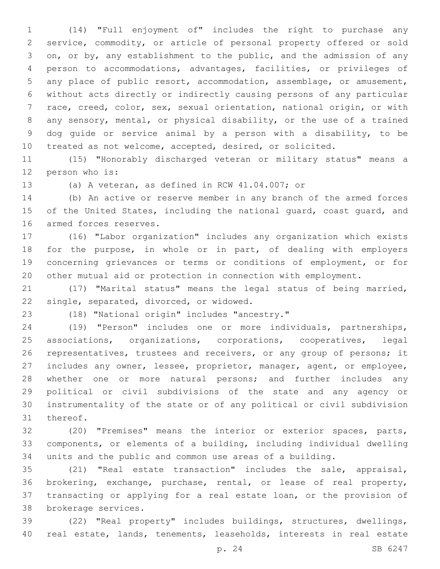(14) "Full enjoyment of" includes the right to purchase any service, commodity, or article of personal property offered or sold on, or by, any establishment to the public, and the admission of any person to accommodations, advantages, facilities, or privileges of any place of public resort, accommodation, assemblage, or amusement, without acts directly or indirectly causing persons of any particular race, creed, color, sex, sexual orientation, national origin, or with any sensory, mental, or physical disability, or the use of a trained dog guide or service animal by a person with a disability, to be treated as not welcome, accepted, desired, or solicited.

 (15) "Honorably discharged veteran or military status" means a 12 person who is:

(a) A veteran, as defined in RCW 41.04.007; or

 (b) An active or reserve member in any branch of the armed forces 15 of the United States, including the national guard, coast guard, and 16 armed forces reserves.

 (16) "Labor organization" includes any organization which exists for the purpose, in whole or in part, of dealing with employers concerning grievances or terms or conditions of employment, or for other mutual aid or protection in connection with employment.

 (17) "Marital status" means the legal status of being married, 22 single, separated, divorced, or widowed.

(18) "National origin" includes "ancestry."23

 (19) "Person" includes one or more individuals, partnerships, associations, organizations, corporations, cooperatives, legal representatives, trustees and receivers, or any group of persons; it includes any owner, lessee, proprietor, manager, agent, or employee, 28 whether one or more natural persons; and further includes any political or civil subdivisions of the state and any agency or instrumentality of the state or of any political or civil subdivision 31 thereof.

 (20) "Premises" means the interior or exterior spaces, parts, components, or elements of a building, including individual dwelling units and the public and common use areas of a building.

 (21) "Real estate transaction" includes the sale, appraisal, brokering, exchange, purchase, rental, or lease of real property, transacting or applying for a real estate loan, or the provision of 38 brokerage services.

 (22) "Real property" includes buildings, structures, dwellings, real estate, lands, tenements, leaseholds, interests in real estate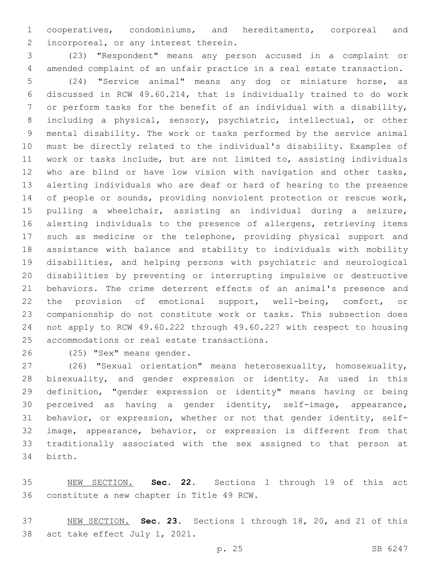cooperatives, condominiums, and hereditaments, corporeal and 2 incorporeal, or any interest therein.

 (23) "Respondent" means any person accused in a complaint or amended complaint of an unfair practice in a real estate transaction.

 (24) "Service animal" means any dog or miniature horse, as discussed in RCW 49.60.214, that is individually trained to do work or perform tasks for the benefit of an individual with a disability, including a physical, sensory, psychiatric, intellectual, or other mental disability. The work or tasks performed by the service animal must be directly related to the individual's disability. Examples of work or tasks include, but are not limited to, assisting individuals who are blind or have low vision with navigation and other tasks, alerting individuals who are deaf or hard of hearing to the presence 14 of people or sounds, providing nonviolent protection or rescue work, pulling a wheelchair, assisting an individual during a seizure, alerting individuals to the presence of allergens, retrieving items such as medicine or the telephone, providing physical support and assistance with balance and stability to individuals with mobility disabilities, and helping persons with psychiatric and neurological disabilities by preventing or interrupting impulsive or destructive behaviors. The crime deterrent effects of an animal's presence and 22 the provision of emotional support, well-being, comfort, or companionship do not constitute work or tasks. This subsection does not apply to RCW 49.60.222 through 49.60.227 with respect to housing 25 accommodations or real estate transactions.

26 (25) "Sex" means gender.

 (26) "Sexual orientation" means heterosexuality, homosexuality, bisexuality, and gender expression or identity. As used in this definition, "gender expression or identity" means having or being perceived as having a gender identity, self-image, appearance, behavior, or expression, whether or not that gender identity, self- image, appearance, behavior, or expression is different from that traditionally associated with the sex assigned to that person at 34 birth.

 NEW SECTION. **Sec. 22.** Sections 1 through 19 of this act constitute a new chapter in Title 49 RCW.

 NEW SECTION. **Sec. 23.** Sections 1 through 18, 20, and 21 of this act take effect July 1, 2021.